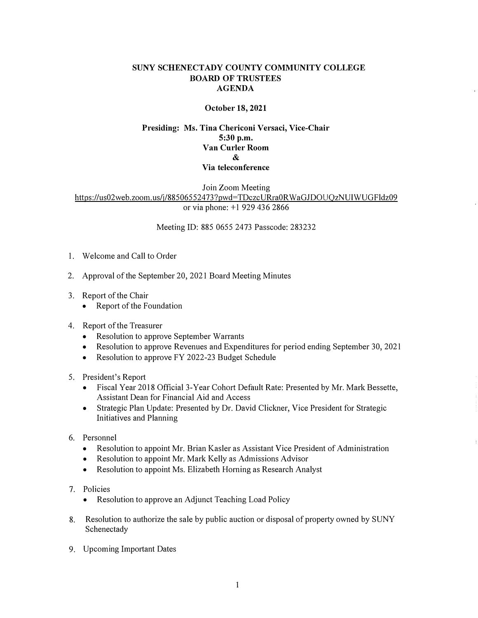## **SUNY SCHENECTADY COUNTY COMMUNITY COLLEGE BOARD OF TRUSTEES AGENDA**

## **October 18, 2021**

## **Presiding: Ms. Tina Chericoni Versaci, Vice-Chair 5:30 p.m. Van Curler Room & Via teleconference**

Join Zoom Meeting https://us02web.zoom.us/j/88506552473?pwd=TDczcURra0RWaGJDOUQzNUIWUGFldz09 or via phone: +1 929 436 2866

Meeting ID: 885 0655 2473 Passcode: 283232

- 1. Welcome and Call to Order
- 2. Approval of the September 20, 2021 Board Meeting Minutes
- 3. Report of the Chair
	- $\bullet$  Report of the Foundation
- 4. Report of the Treasurer
	- Resolution to approve September Warrants
	- Resolution to approve Revenues and Expenditures for period ending September 30, 2021
	- Resolution to approve FY 2022-23 Budget Schedule
- 5. President's Report
	- Fiscal Year 2018 Official 3-Year Cohort Default Rate: Presented by Mr. Mark Bessette, Assistant Dean for Financial Aid and Access
	- Strategic Plan Update: Presented by Dr. David Clickner, Vice President for Strategic Initiatives and Planning
- 6. Personnel
	- Resolution to appoint Mr. Brian Kasler as Assistant Vice President of Administration
	- Resolution to appoint Mr. Mark Kelly as Admissions Advisor
	- Resolution to appoint Ms. Elizabeth Horning as Research Analyst
- 7. Policies
	- Resolution to approve an Adjunct Teaching Load Policy
- 8. Resolution to authorize the sale by public auction or disposal of property owned by SUNY Schenectady
- 9. Upcoming Important Dates